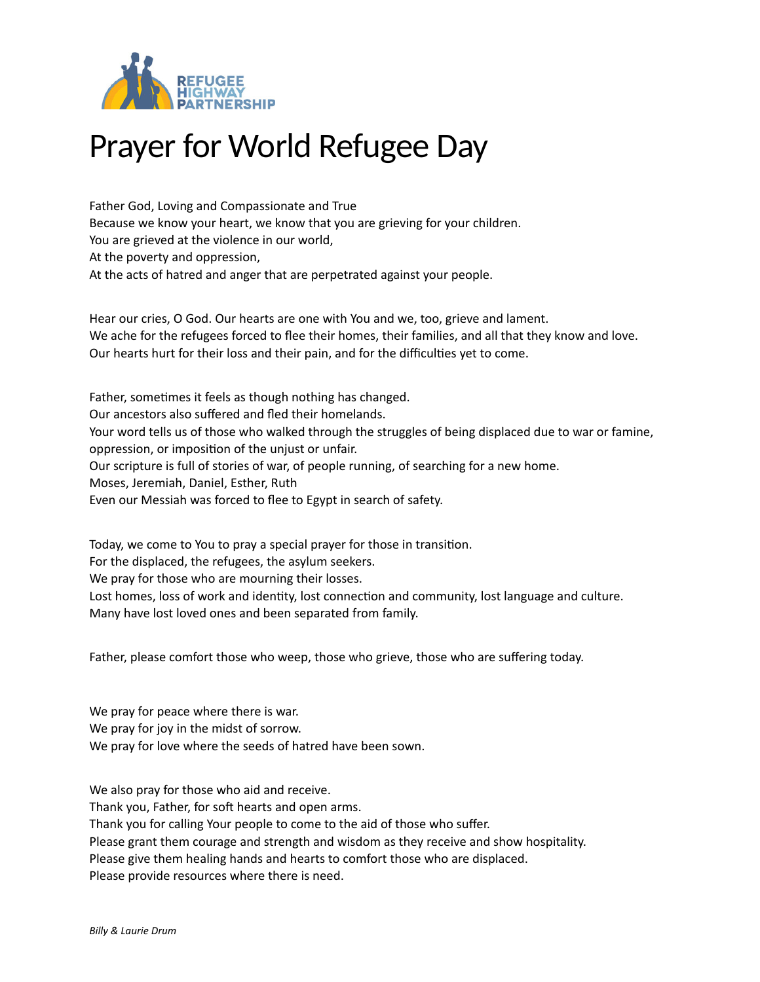

## Prayer for World Refugee Day

Father God, Loving and Compassionate and True Because we know your heart, we know that you are grieving for your children. You are grieved at the violence in our world, At the poverty and oppression, At the acts of hatred and anger that are perpetrated against your people.

Hear our cries, O God. Our hearts are one with You and we, too, grieve and lament. We ache for the refugees forced to flee their homes, their families, and all that they know and love. Our hearts hurt for their loss and their pain, and for the difficulties yet to come.

Father, sometimes it feels as though nothing has changed. Our ancestors also suffered and fled their homelands. Your word tells us of those who walked through the struggles of being displaced due to war or famine, oppression, or imposition of the unjust or unfair. Our scripture is full of stories of war, of people running, of searching for a new home. Moses, Jeremiah, Daniel, Esther, Ruth Even our Messiah was forced to flee to Egypt in search of safety.

Today, we come to You to pray a special prayer for those in transition.

For the displaced, the refugees, the asylum seekers.

We pray for those who are mourning their losses.

Lost homes, loss of work and identity, lost connection and community, lost language and culture. Many have lost loved ones and been separated from family.

Father, please comfort those who weep, those who grieve, those who are suffering today.

We pray for peace where there is war. We pray for joy in the midst of sorrow. We pray for love where the seeds of hatred have been sown.

We also pray for those who aid and receive.

Thank you, Father, for soft hearts and open arms.

Thank you for calling Your people to come to the aid of those who suffer.

Please grant them courage and strength and wisdom as they receive and show hospitality.

Please give them healing hands and hearts to comfort those who are displaced.

Please provide resources where there is need.